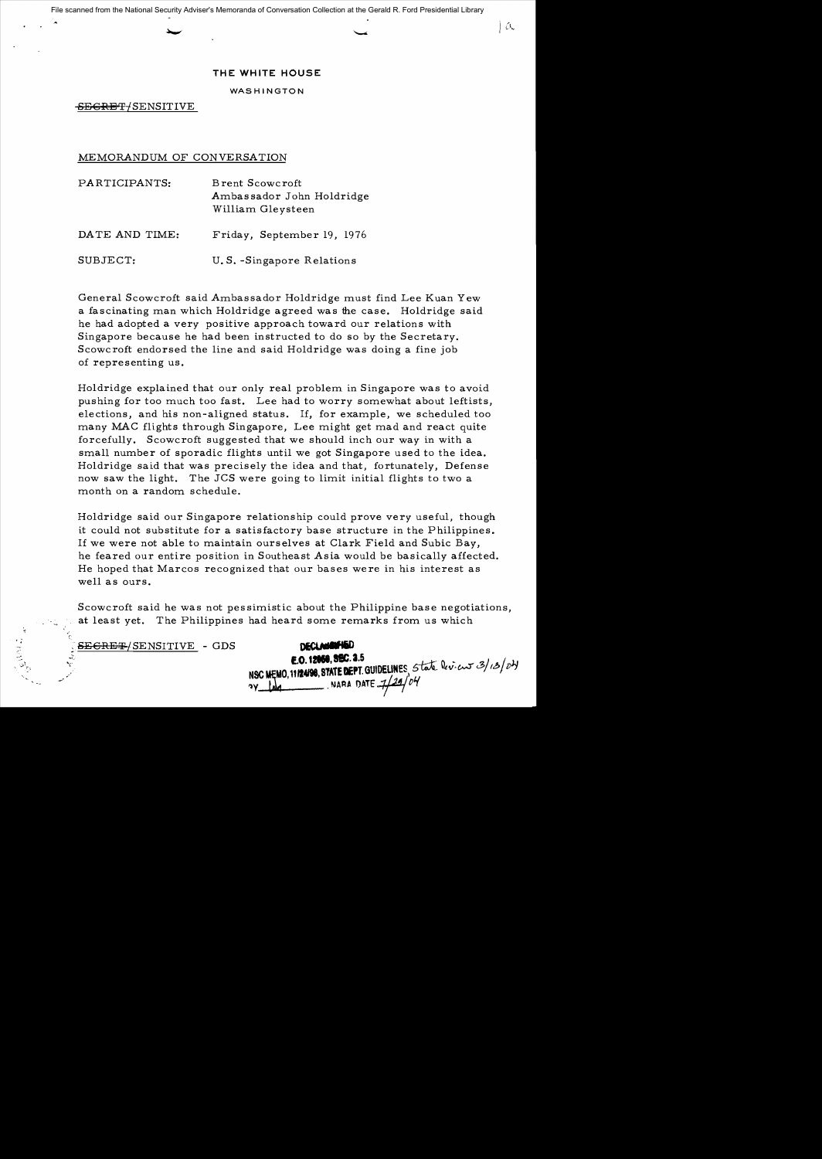İα

## **THE WHITE HOUSE**

WASHINGTON

SEGRET/SENSITIVE

## MEMORANDUM OF CONVERSATION

| PARTICIPANTS:  | Brent Scowcroft<br>Ambassador John Holdridge<br>William Gleysteen |  |  |  |
|----------------|-------------------------------------------------------------------|--|--|--|
| DATE AND TIME: | Friday, September 19, 1976                                        |  |  |  |
| SUBJECT:       | U.S.-Singapore Relations                                          |  |  |  |

General Scowcroft said Ambassador Holdridge must find Lee Kuan Yew a fascinating man which Holdridge agreed was the case. Holdridge said he had adopted a very positive approach toward our relations with Singapore because he had been instructed to do so by the Secretary. Scowc roft endorsed the line and said Holdridge was doing a fine job of representing us.

Holdridge explained that our only real problem in Singapore was to avoid pushing for too much too fast. Lee had to worry somewhat about leftists, elections, and his non-aligned status. If, for example, we scheduled too many MAC flights through Singapore, Lee might get mad and react quite forcefully. Scowcroft suggested that we should inch our way in with a small number of sporadic flights until we got Singapore used to the idea. Holdridge said that was precisely the idea and that, fortunately, Defense now saw the light. The JCS were going to limit initial flights to two a month on a random schedule.

Holdridge said our Singapore relationship could prove very useful, though it could not substitute for a satisfactory base structure in the Philippines. If we were not able to maintain ourselves at Clark Field and Subic Bay, he feared our entire position in Southeast Asia would be basically affected. He hoped that Marcos recognized that our bases were in his interest as well as ours.

Scowcroft said he was not pessimistic about the Philippine base negotiations, at least yet. The Philippines had heard some remarks from us which

<del>SECRET/</del>SENSITIVE - GDS

..,

'..;,~ *r 0.* 

.<br>من<br>-

| <b>DECLANAMENED</b>  |
|----------------------|
| E.O. 12058, SEC. 3.5 |
|                      |
|                      |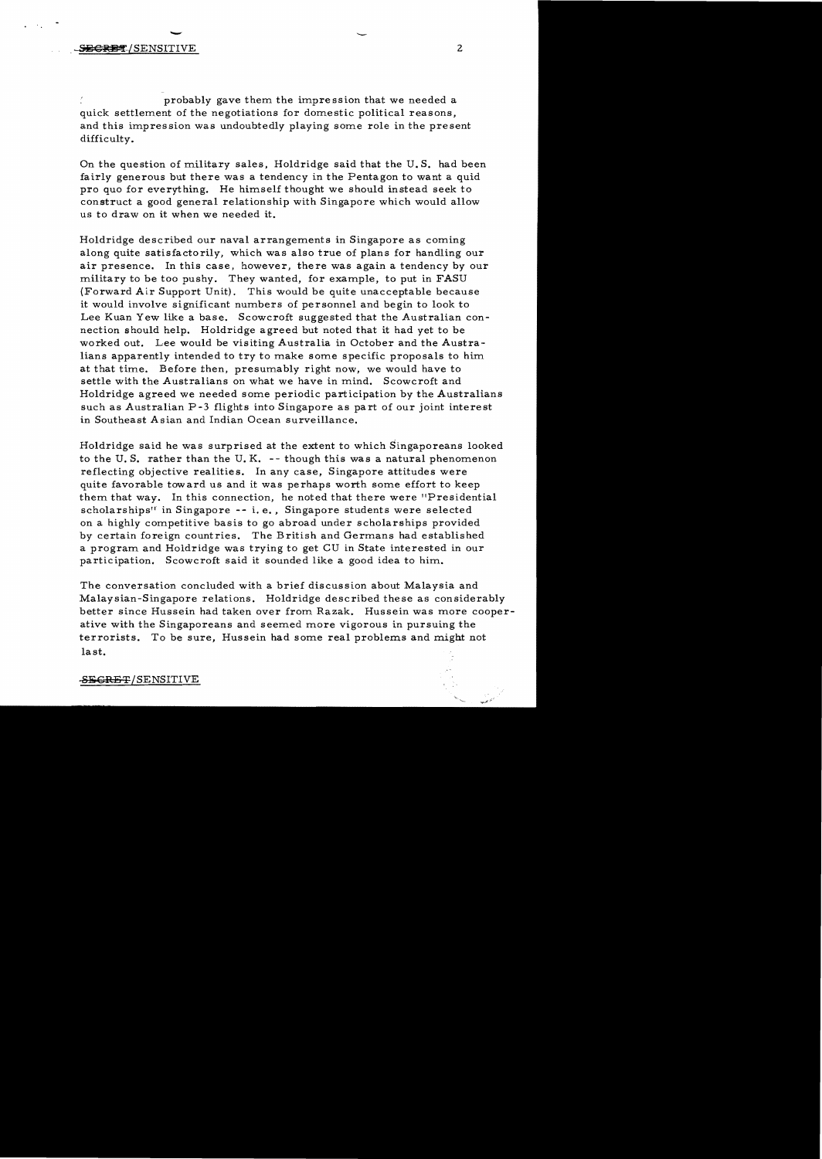probably gave them the impression that we needed a quick settlement of the negotiations for domestic political reasons, and this impression was undoubtedly playing some role in the present difficulty.

On the question of military sales, Holdridge said that the U. S. had been fairly generous but there was a tendency in the Pentagon to want a quid pro quo for everything. He himself thought we should instead seek to construct a good general relationship with Singapore which would allow us to draw on it when we needed it.

Holdridge described our naval arrangements in Singapore as coming along quite satisfactorily, which was also true of plans for handling our air presence. In this case, however, there was again a tendency by our military to be too pushy. They wanted, for example, to put in FASU (Forward Air Support Unit). This would be quite unacceptable because it would involve significant numbers of personnel and begin to look to Lee Kuan Yew like a base. Scowcroft suggested that the Australian connection should help. Holdridge agreed but noted that it had yet to be worked out. Lee would be visiting Australia in October and the Australians apparently intended to try to make some specific proposals to him at that time. Before then, presumably right now, we would have to settle with the Australians on what we have in mind. Scowcroft and Holdridge agreed we needed some periodic participation by the Australians such as Australian P-3 flights into Singapore as part of our joint interest in Southeast Asian and Indian Ocean surveillance.

Holdridge said he was surprised at the extent to which Singaporeans looked to the U. S. rather than the U. K. - - though this was a natural phenomenon reflecting objective realities. In any case, Singapore attitudes were quite favorable toward us and it was perhaps worth some effort to keep them that way. In this connection, he noted that there were "Presidential scholarships<sup>"</sup> in Singapore  $- - i$ . e., Singapore students were selected on a highly competitive basis to go abroad under scholarships provided by certain foreign countries. The British and Germans had established a program and Holdridge was trying to get CU in State interested in our participation. Scowcroft said it sounded like a good idea to him.

The conversation concluded with a brief discussion about Malaysia and Malaysian-Singapore relations. Holdridge described these as considerably better since Hussein had taken over from Razak. Hussein was more cooperative with the Singaporeans and seemed more vigorous in pursuing the terrorists. To be sure, Hussein had some real problems and might not last.

## SEGRET/SENSITIVE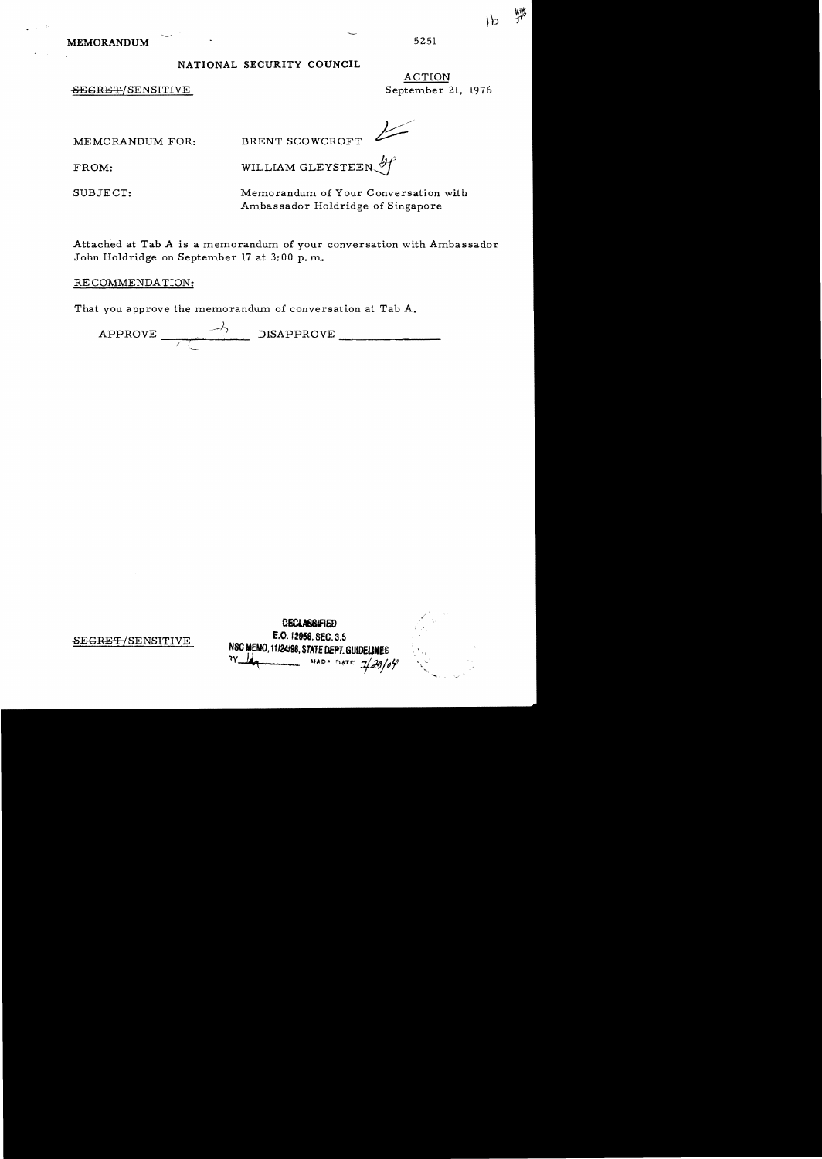MEMORANDUM 5251

· .

## NATIONAL SECURITY COUNCIL

SEGRET/SENSITIVE September 21, 1976

ACTION

MEMORANDUM FOR: BRENT SCOWCROFT

FROM: WILLIAM GLEYSTEEN  $\mathscr{H}$ 

SUBJECT: Memorandum of Your Conversation with Ambassador Holdridge of Singapore

Attached at Tab A is a memorandum of your conversation with Ambassador John Holdridge on September 17 at 3:00 p. m.

RECOMMENDATION:

That you approve the memorandum of conversation at Tab A.

APPROVE DISAPPROVE \_\_\_\_\_\_\_ ---;.--,.-, /' *l*--- "-<

|                      | <b>DECLASSIFIED</b><br>E.O. 12958, SEC. 3.5                              | <b>Section</b><br>- 12 |  |
|----------------------|--------------------------------------------------------------------------|------------------------|--|
| $\cdot$ TIVE $\cdot$ | NSC MEMO, 11/24/98, STATE DEPT. GUIDELINES<br>?Y Under MADA DATE 2/29/04 | <b>Contract</b>        |  |

弊

 $16$